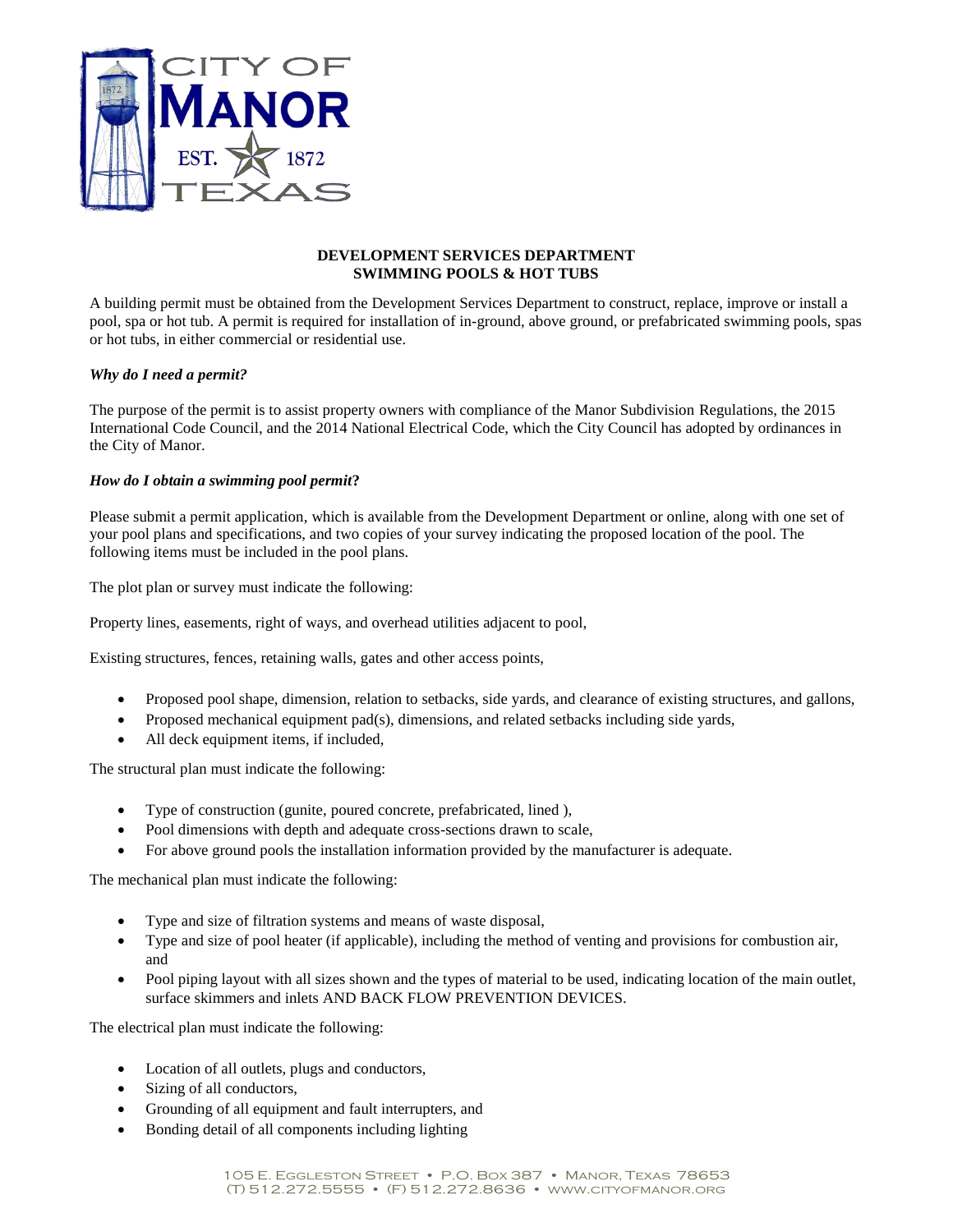

### **DEVELOPMENT SERVICES DEPARTMENT SWIMMING POOLS & HOT TUBS**

A building permit must be obtained from the Development Services Department to construct, replace, improve or install a pool, spa or hot tub. A permit is required for installation of in-ground, above ground, or prefabricated swimming pools, spas or hot tubs, in either commercial or residential use.

## *Why do I need a permit?*

The purpose of the permit is to assist property owners with compliance of the Manor Subdivision Regulations, the 2015 International Code Council, and the 2014 National Electrical Code, which the City Council has adopted by ordinances in the City of Manor.

#### *How do I obtain a swimming pool permit***?**

Please submit a permit application, which is available from the Development Department or online, along with one set of your pool plans and specifications, and two copies of your survey indicating the proposed location of the pool. The following items must be included in the pool plans.

The plot plan or survey must indicate the following:

Property lines, easements, right of ways, and overhead utilities adjacent to pool,

Existing structures, fences, retaining walls, gates and other access points,

- Proposed pool shape, dimension, relation to setbacks, side yards, and clearance of existing structures, and gallons,
- Proposed mechanical equipment pad(s), dimensions, and related setbacks including side yards,
- All deck equipment items, if included,

The structural plan must indicate the following:

- Type of construction (gunite, poured concrete, prefabricated, lined ),
- Pool dimensions with depth and adequate cross-sections drawn to scale,
- For above ground pools the installation information provided by the manufacturer is adequate.

The mechanical plan must indicate the following:

- Type and size of filtration systems and means of waste disposal,
- Type and size of pool heater (if applicable), including the method of venting and provisions for combustion air, and
- Pool piping layout with all sizes shown and the types of material to be used, indicating location of the main outlet, surface skimmers and inlets AND BACK FLOW PREVENTION DEVICES.

The electrical plan must indicate the following:

- Location of all outlets, plugs and conductors,
- Sizing of all conductors,
- Grounding of all equipment and fault interrupters, and
- Bonding detail of all components including lighting